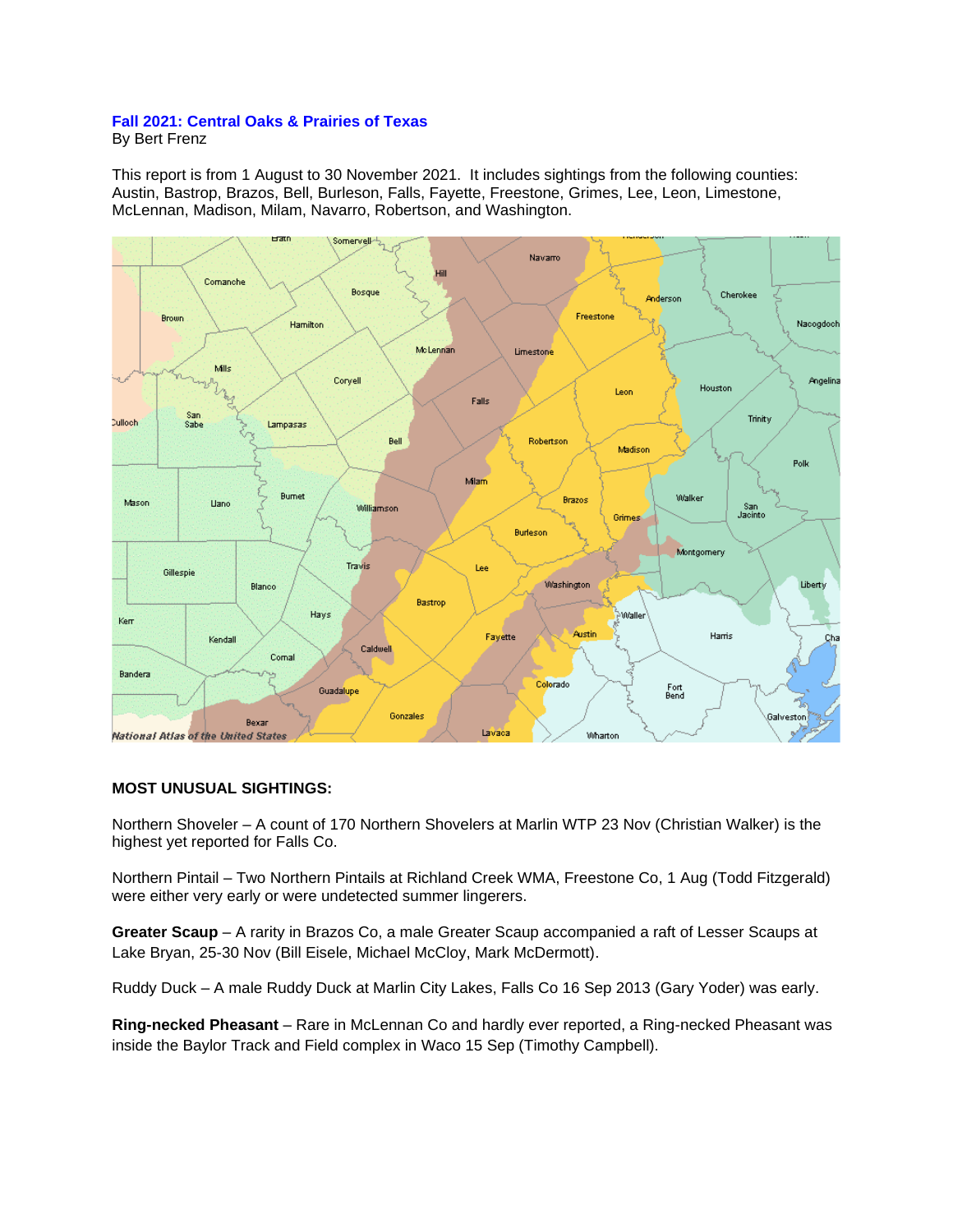## **Fall 2021: Central Oaks & Prairies of Texas**

By Bert Frenz

This report is from 1 August to 30 November 2021. It includes sightings from the following counties: Austin, Bastrop, Brazos, Bell, Burleson, Falls, Fayette, Freestone, Grimes, Lee, Leon, Limestone, McLennan, Madison, Milam, Navarro, Robertson, and Washington.



## **MOST UNUSUAL SIGHTINGS:**

Northern Shoveler – A count of 170 Northern Shovelers at Marlin WTP 23 Nov (Christian Walker) is the highest yet reported for Falls Co.

Northern Pintail – Two Northern Pintails at Richland Creek WMA, Freestone Co, 1 Aug (Todd Fitzgerald) were either very early or were undetected summer lingerers.

**Greater Scaup** – A rarity in Brazos Co, a male Greater Scaup accompanied a raft of Lesser Scaups at Lake Bryan, 25-30 Nov (Bill Eisele, Michael McCloy, Mark McDermott).

Ruddy Duck – A male Ruddy Duck at Marlin City Lakes, Falls Co 16 Sep 2013 (Gary Yoder) was early.

**Ring-necked Pheasant** – Rare in McLennan Co and hardly ever reported, a Ring-necked Pheasant was inside the Baylor Track and Field complex in Waco 15 Sep (Timothy Campbell).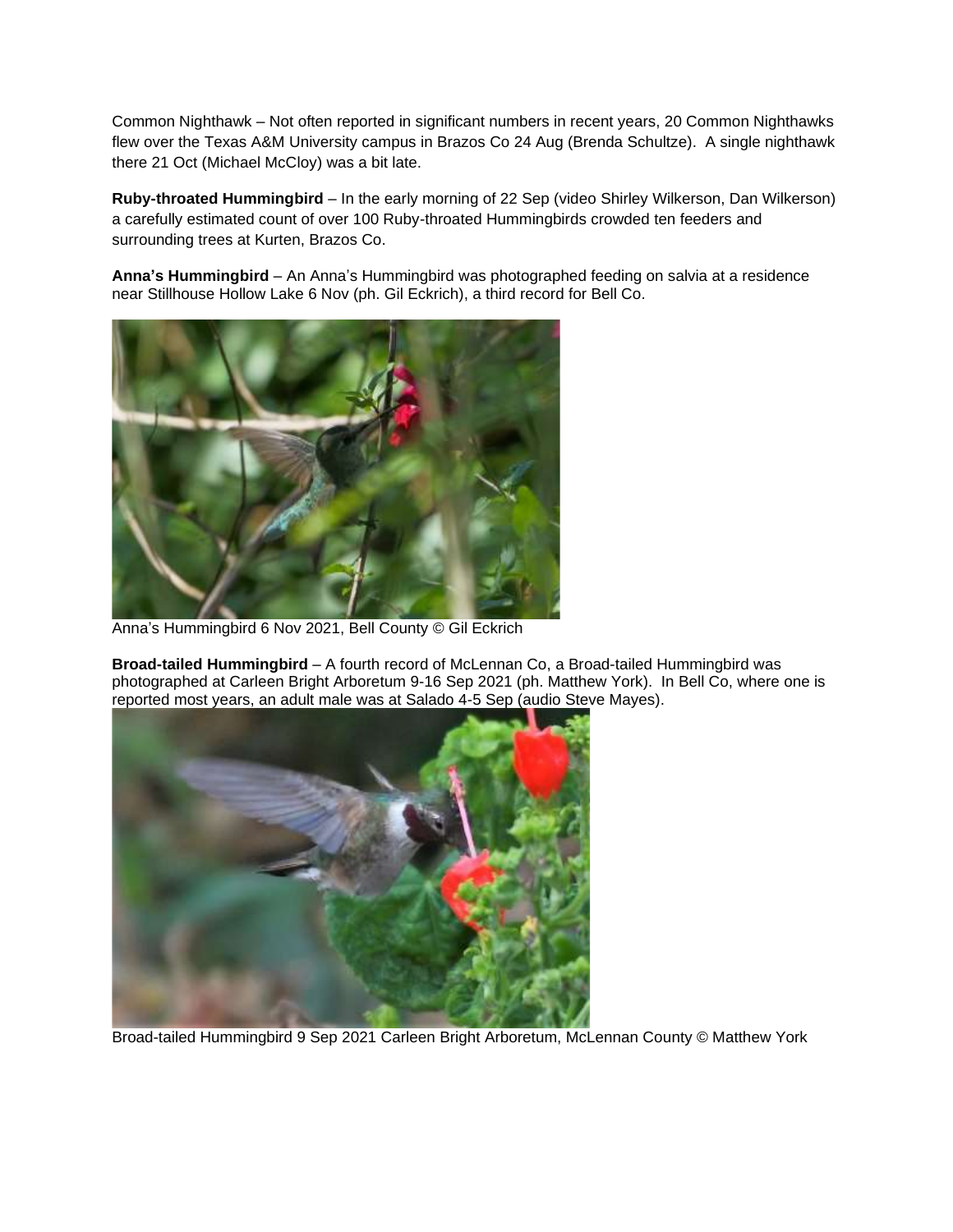Common Nighthawk – Not often reported in significant numbers in recent years, 20 Common Nighthawks flew over the Texas A&M University campus in Brazos Co 24 Aug (Brenda Schultze). A single nighthawk there 21 Oct (Michael McCloy) was a bit late.

**Ruby-throated Hummingbird** – In the early morning of 22 Sep (video Shirley Wilkerson, Dan Wilkerson) a carefully estimated count of over 100 Ruby-throated Hummingbirds crowded ten feeders and surrounding trees at Kurten, Brazos Co.

**Anna's Hummingbird** – An Anna's Hummingbird was photographed feeding on salvia at a residence near Stillhouse Hollow Lake 6 Nov (ph. Gil Eckrich), a third record for Bell Co.



Anna's Hummingbird 6 Nov 2021, Bell County © Gil Eckrich

**Broad-tailed Hummingbird** – A fourth record of McLennan Co, a Broad-tailed Hummingbird was photographed at Carleen Bright Arboretum 9-16 Sep 2021 (ph. Matthew York). In Bell Co, where one is reported most years, an adult male was at Salado 4-5 Sep (audio Steve Mayes).



Broad-tailed Hummingbird 9 Sep 2021 Carleen Bright Arboretum, McLennan County © Matthew York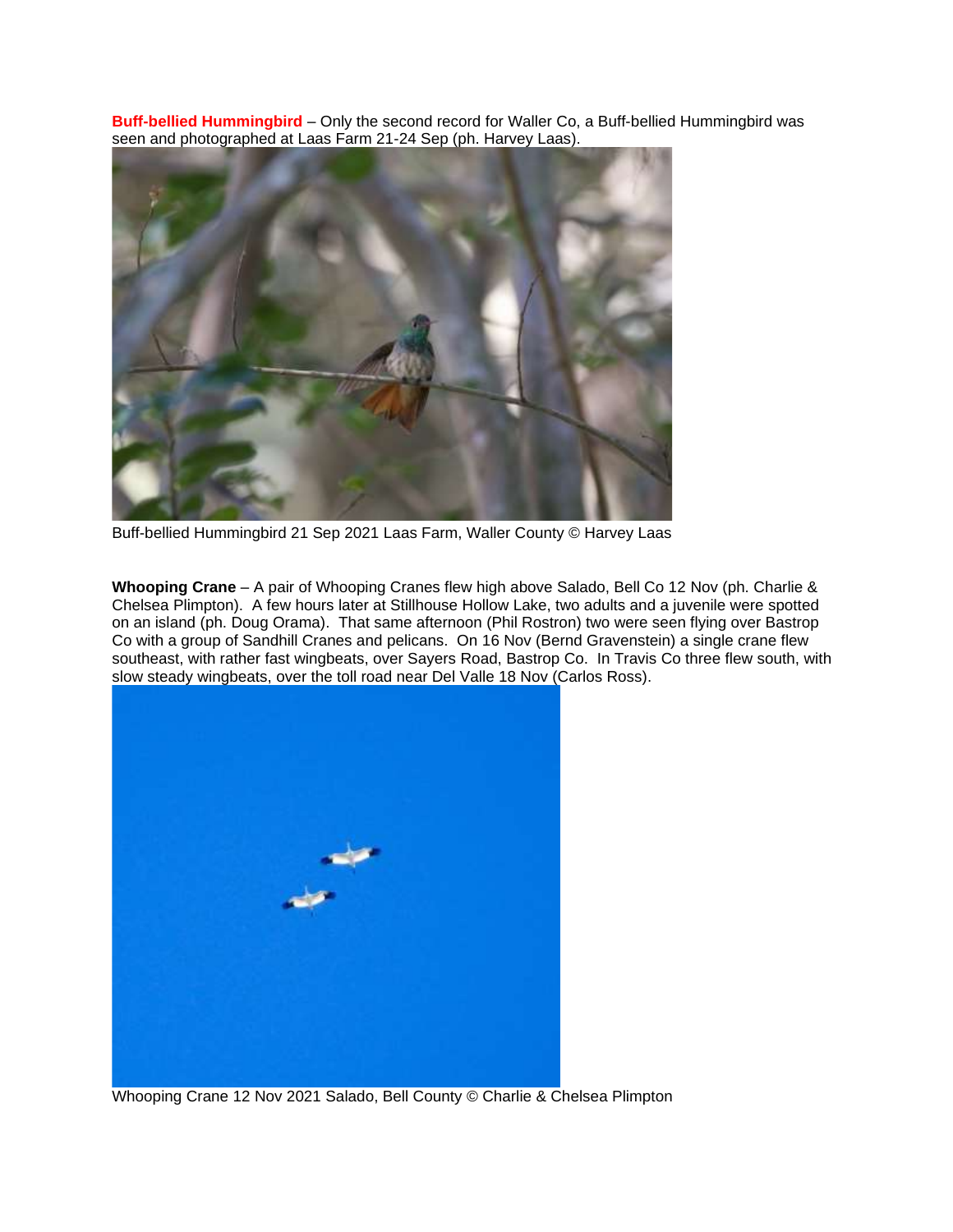**Buff-bellied Hummingbird** – Only the second record for Waller Co, a Buff-bellied Hummingbird was seen and photographed at Laas Farm 21-24 Sep (ph. Harvey Laas).



Buff-bellied Hummingbird 21 Sep 2021 Laas Farm, Waller County © Harvey Laas

**Whooping Crane** – A pair of Whooping Cranes flew high above Salado, Bell Co 12 Nov (ph. Charlie & Chelsea Plimpton). A few hours later at Stillhouse Hollow Lake, two adults and a juvenile were spotted on an island (ph. Doug Orama). That same afternoon (Phil Rostron) two were seen flying over Bastrop Co with a group of Sandhill Cranes and pelicans. On 16 Nov (Bernd Gravenstein) a single crane flew southeast, with rather fast wingbeats, over Sayers Road, Bastrop Co. In Travis Co three flew south, with slow steady wingbeats, over the toll road near Del Valle 18 Nov (Carlos Ross).



Whooping Crane 12 Nov 2021 Salado, Bell County © Charlie & Chelsea Plimpton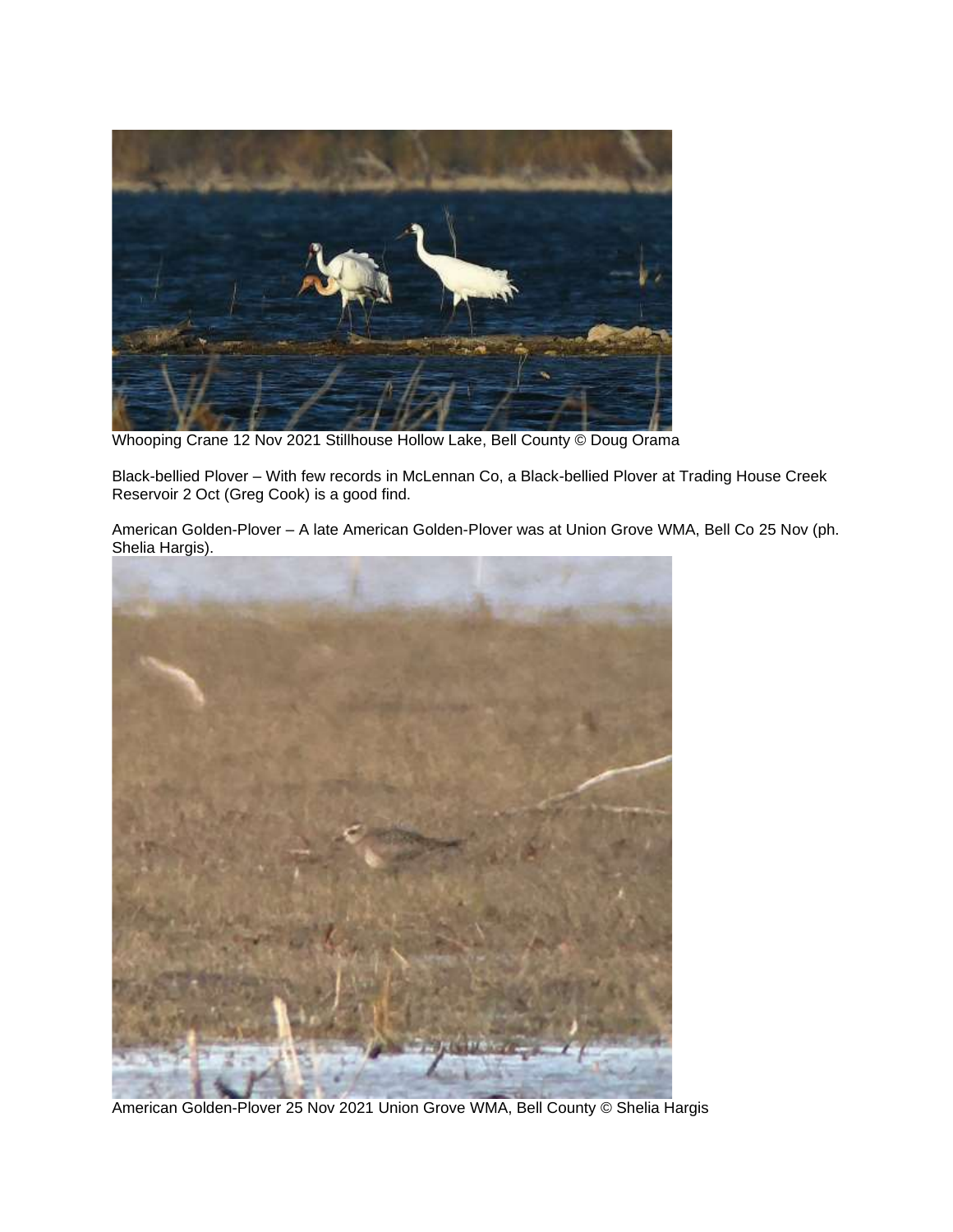

Whooping Crane 12 Nov 2021 Stillhouse Hollow Lake, Bell County © Doug Orama

Black-bellied Plover – With few records in McLennan Co, a Black-bellied Plover at Trading House Creek Reservoir 2 Oct (Greg Cook) is a good find.

American Golden-Plover – A late American Golden-Plover was at Union Grove WMA, Bell Co 25 Nov (ph. Shelia Hargis).



American Golden-Plover 25 Nov 2021 Union Grove WMA, Bell County © Shelia Hargis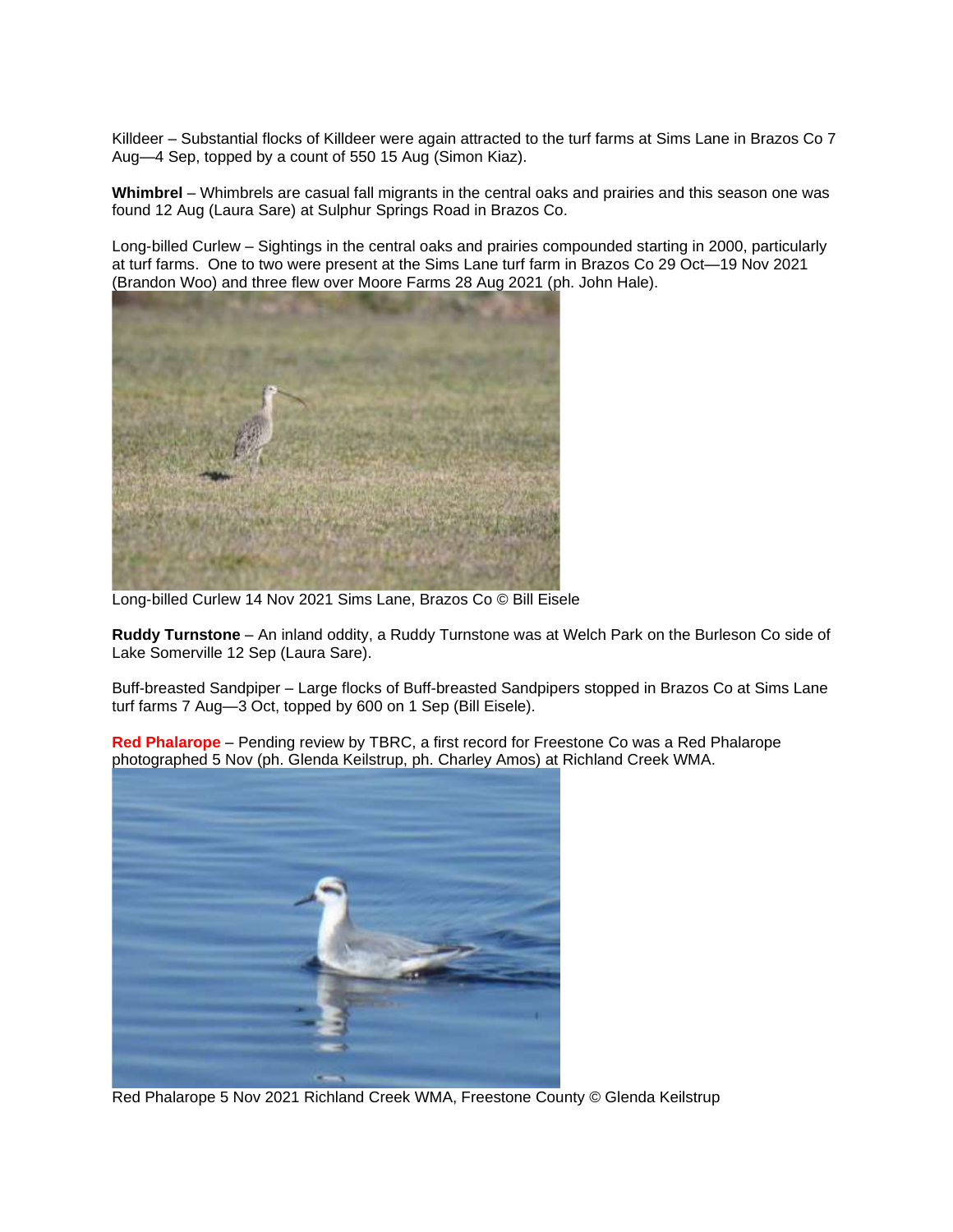Killdeer – Substantial flocks of Killdeer were again attracted to the turf farms at Sims Lane in Brazos Co 7 Aug—4 Sep, topped by a count of 550 15 Aug (Simon Kiaz).

**Whimbrel** – Whimbrels are casual fall migrants in the central oaks and prairies and this season one was found 12 Aug (Laura Sare) at Sulphur Springs Road in Brazos Co.

Long-billed Curlew – Sightings in the central oaks and prairies compounded starting in 2000, particularly at turf farms. One to two were present at the Sims Lane turf farm in Brazos Co 29 Oct—19 Nov 2021 (Brandon Woo) and three flew over Moore Farms 28 Aug 2021 (ph. John Hale).



Long-billed Curlew 14 Nov 2021 Sims Lane, Brazos Co © Bill Eisele

**Ruddy Turnstone** – An inland oddity, a Ruddy Turnstone was at Welch Park on the Burleson Co side of Lake Somerville 12 Sep (Laura Sare).

Buff-breasted Sandpiper – Large flocks of Buff-breasted Sandpipers stopped in Brazos Co at Sims Lane turf farms 7 Aug—3 Oct, topped by 600 on 1 Sep (Bill Eisele).

**Red Phalarope** – Pending review by TBRC, a first record for Freestone Co was a Red Phalarope photographed 5 Nov (ph. Glenda Keilstrup, ph. Charley Amos) at Richland Creek WMA.



Red Phalarope 5 Nov 2021 Richland Creek WMA, Freestone County © Glenda Keilstrup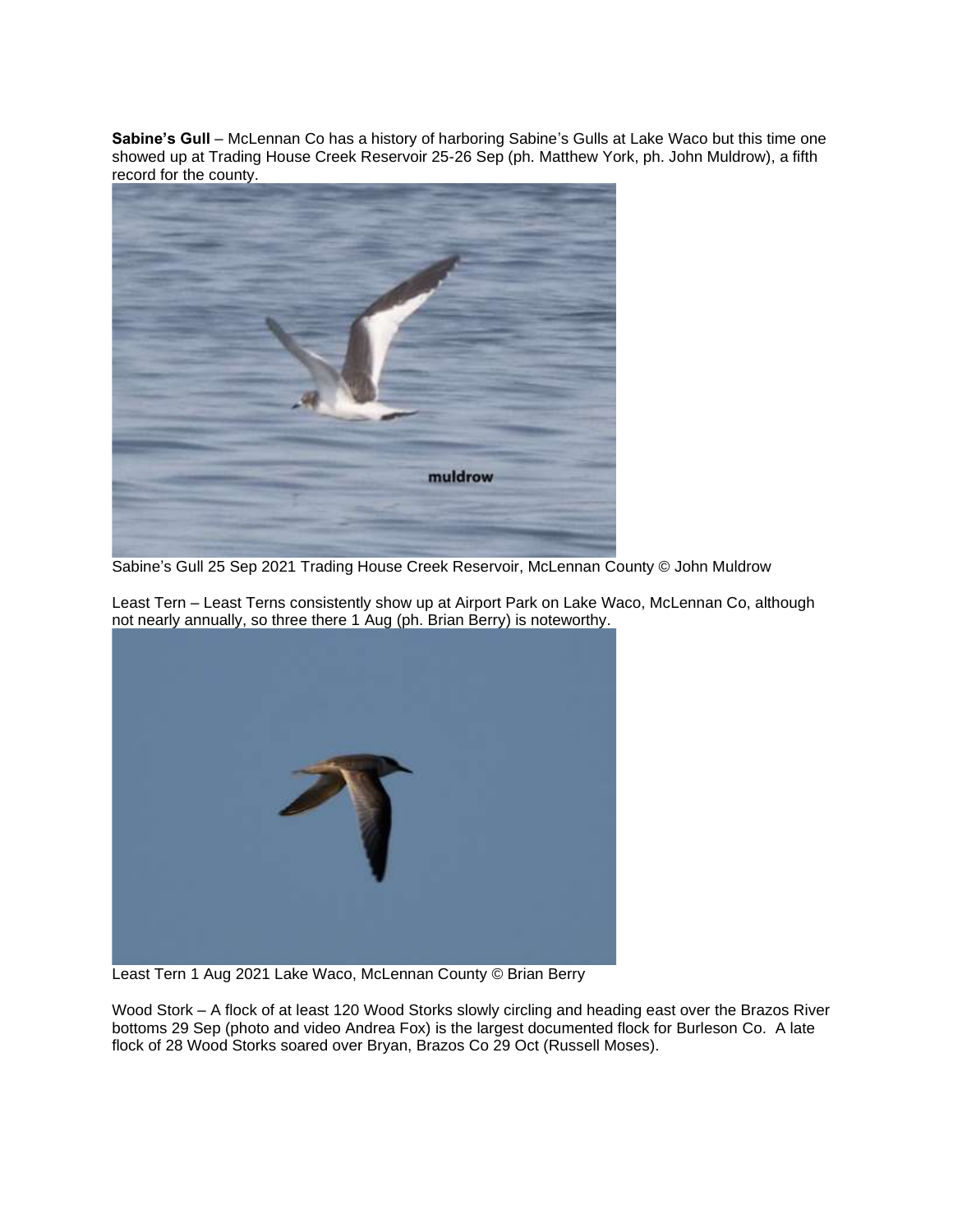**Sabine's Gull** – McLennan Co has a history of harboring Sabine's Gulls at Lake Waco but this time one showed up at Trading House Creek Reservoir 25-26 Sep (ph. Matthew York, ph. John Muldrow), a fifth record for the county.



Sabine's Gull 25 Sep 2021 Trading House Creek Reservoir, McLennan County © John Muldrow

Least Tern – Least Terns consistently show up at Airport Park on Lake Waco, McLennan Co, although not nearly annually, so three there 1 Aug (ph. Brian Berry) is noteworthy.



Least Tern 1 Aug 2021 Lake Waco, McLennan County © Brian Berry

Wood Stork – A flock of at least 120 Wood Storks slowly circling and heading east over the Brazos River bottoms 29 Sep (photo and video Andrea Fox) is the largest documented flock for Burleson Co. A late flock of 28 Wood Storks soared over Bryan, Brazos Co 29 Oct (Russell Moses).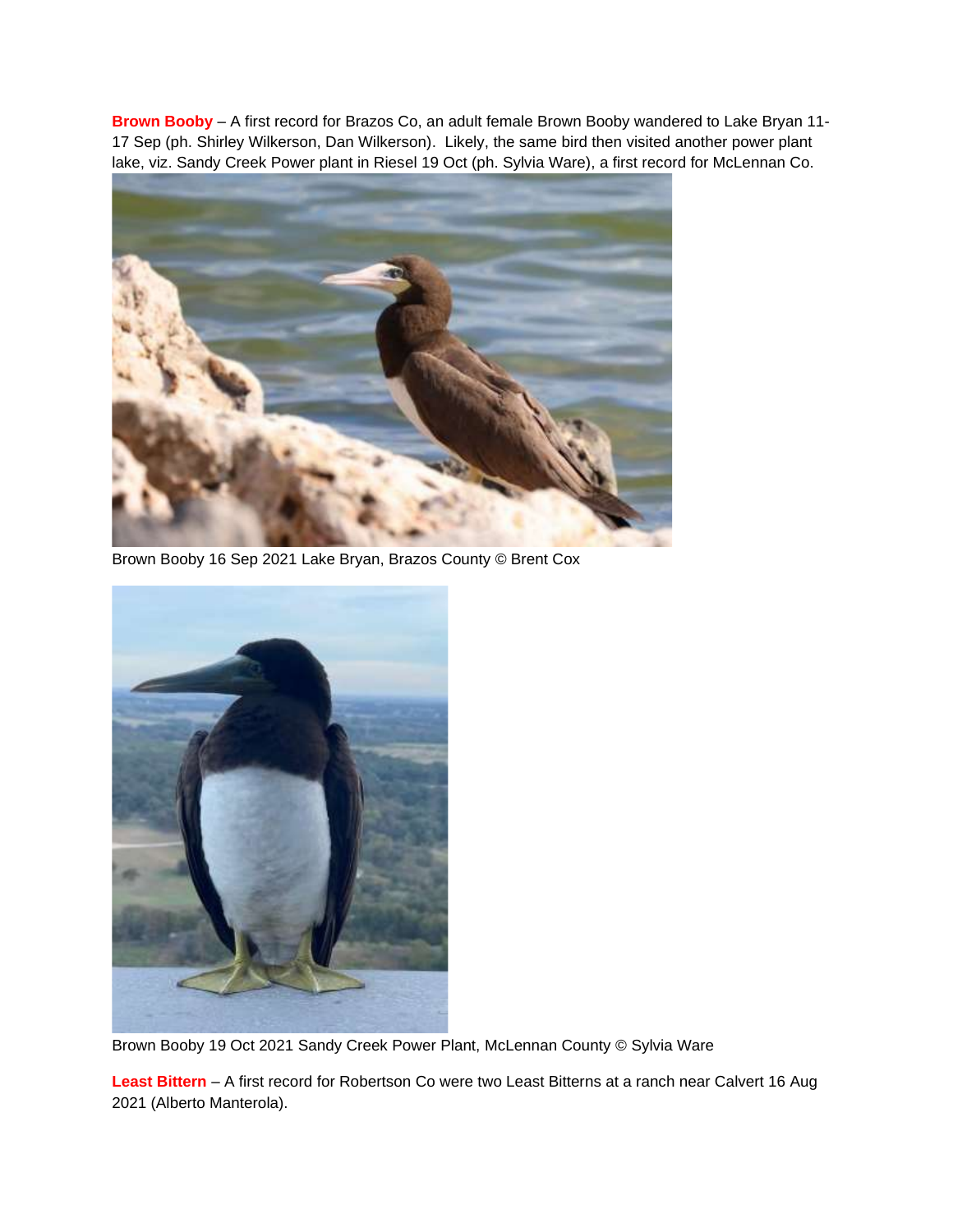**Brown Booby** – A first record for Brazos Co, an adult female Brown Booby wandered to Lake Bryan 11- 17 Sep (ph. Shirley Wilkerson, Dan Wilkerson). Likely, the same bird then visited another power plant lake, viz. Sandy Creek Power plant in Riesel 19 Oct (ph. Sylvia Ware), a first record for McLennan Co.



Brown Booby 16 Sep 2021 Lake Bryan, Brazos County © Brent Cox



Brown Booby 19 Oct 2021 Sandy Creek Power Plant, McLennan County © Sylvia Ware

**Least Bittern** – A first record for Robertson Co were two Least Bitterns at a ranch near Calvert 16 Aug 2021 (Alberto Manterola).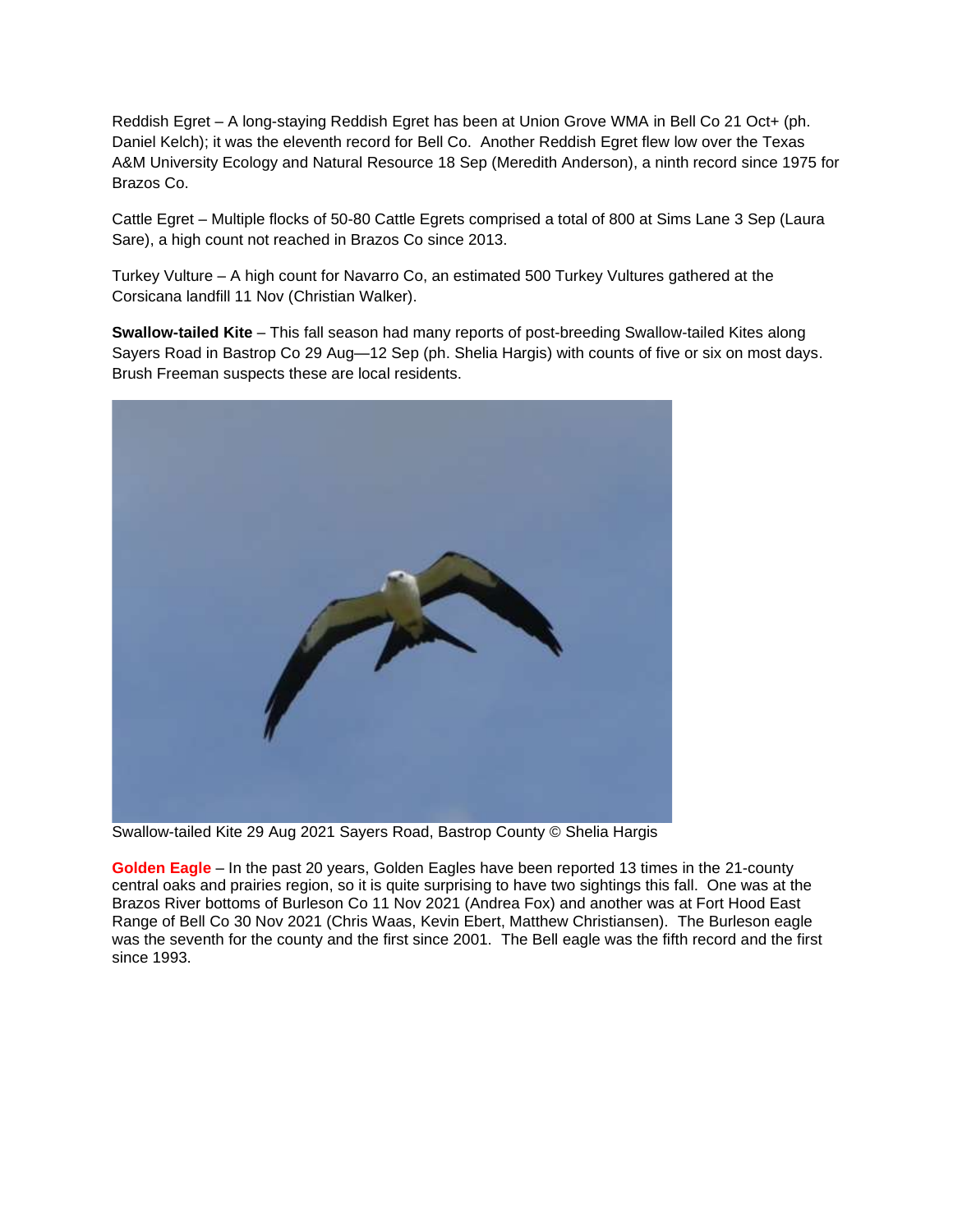Reddish Egret – A long-staying Reddish Egret has been at Union Grove WMA in Bell Co 21 Oct+ (ph. Daniel Kelch); it was the eleventh record for Bell Co. Another Reddish Egret flew low over the Texas A&M University Ecology and Natural Resource 18 Sep (Meredith Anderson), a ninth record since 1975 for Brazos Co.

Cattle Egret – Multiple flocks of 50-80 Cattle Egrets comprised a total of 800 at Sims Lane 3 Sep (Laura Sare), a high count not reached in Brazos Co since 2013.

Turkey Vulture – A high count for Navarro Co, an estimated 500 Turkey Vultures gathered at the Corsicana landfill 11 Nov (Christian Walker).

**Swallow-tailed Kite** – This fall season had many reports of post-breeding Swallow-tailed Kites along Sayers Road in Bastrop Co 29 Aug—12 Sep (ph. Shelia Hargis) with counts of five or six on most days. Brush Freeman suspects these are local residents.



Swallow-tailed Kite 29 Aug 2021 Sayers Road, Bastrop County © Shelia Hargis

**Golden Eagle** – In the past 20 years, Golden Eagles have been reported 13 times in the 21-county central oaks and prairies region, so it is quite surprising to have two sightings this fall. One was at the Brazos River bottoms of Burleson Co 11 Nov 2021 (Andrea Fox) and another was at Fort Hood East Range of Bell Co 30 Nov 2021 (Chris Waas, Kevin Ebert, Matthew Christiansen). The Burleson eagle was the seventh for the county and the first since 2001. The Bell eagle was the fifth record and the first since 1993.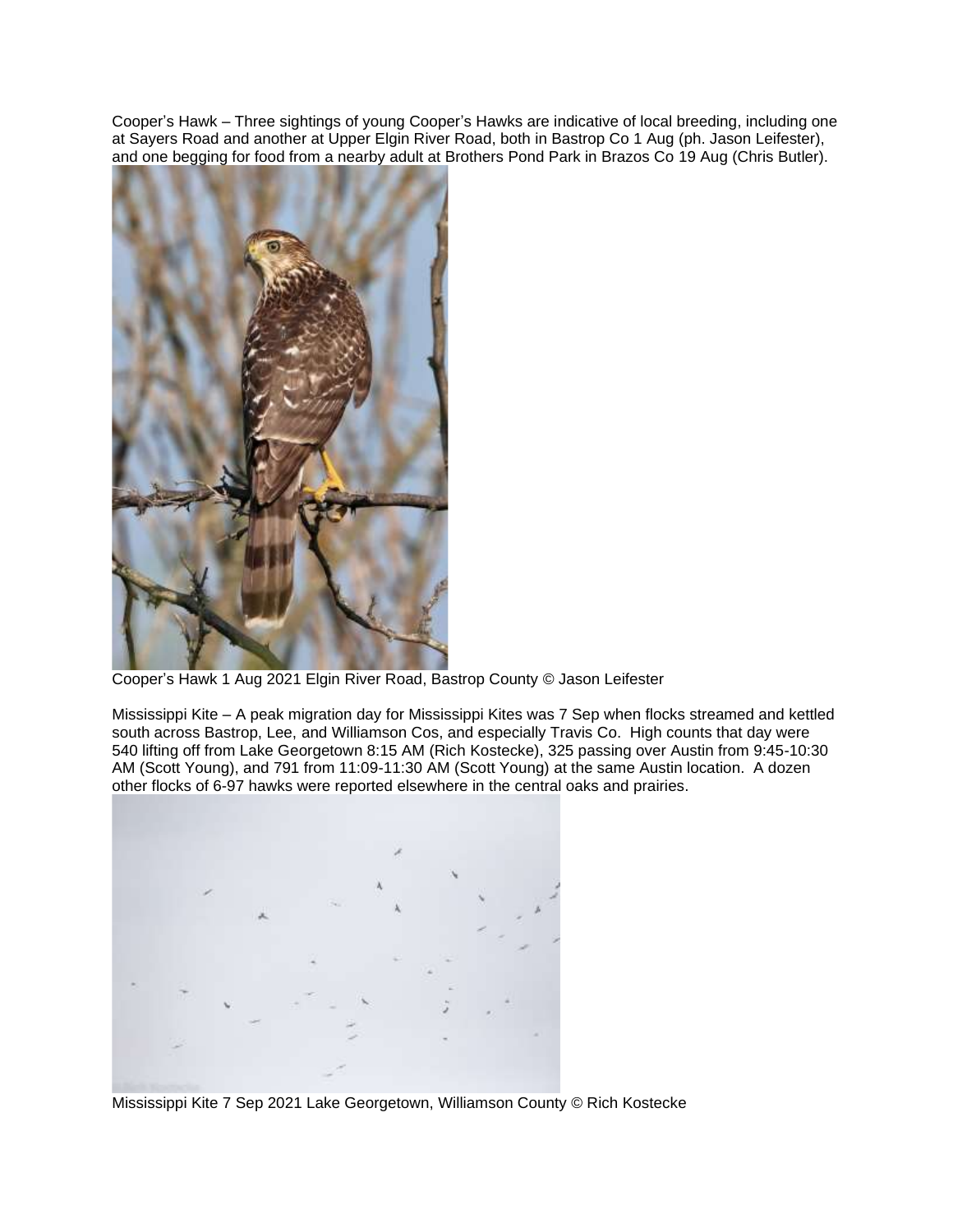Cooper's Hawk – Three sightings of young Cooper's Hawks are indicative of local breeding, including one at Sayers Road and another at Upper Elgin River Road, both in Bastrop Co 1 Aug (ph. Jason Leifester), and one begging for food from a nearby adult at Brothers Pond Park in Brazos Co 19 Aug (Chris Butler).



Cooper's Hawk 1 Aug 2021 Elgin River Road, Bastrop County © Jason Leifester

Mississippi Kite – A peak migration day for Mississippi Kites was 7 Sep when flocks streamed and kettled south across Bastrop, Lee, and Williamson Cos, and especially Travis Co. High counts that day were 540 lifting off from Lake Georgetown 8:15 AM (Rich Kostecke), 325 passing over Austin from 9:45-10:30 AM (Scott Young), and 791 from 11:09-11:30 AM (Scott Young) at the same Austin location. A dozen other flocks of 6-97 hawks were reported elsewhere in the central oaks and prairies.



Mississippi Kite 7 Sep 2021 Lake Georgetown, Williamson County © Rich Kostecke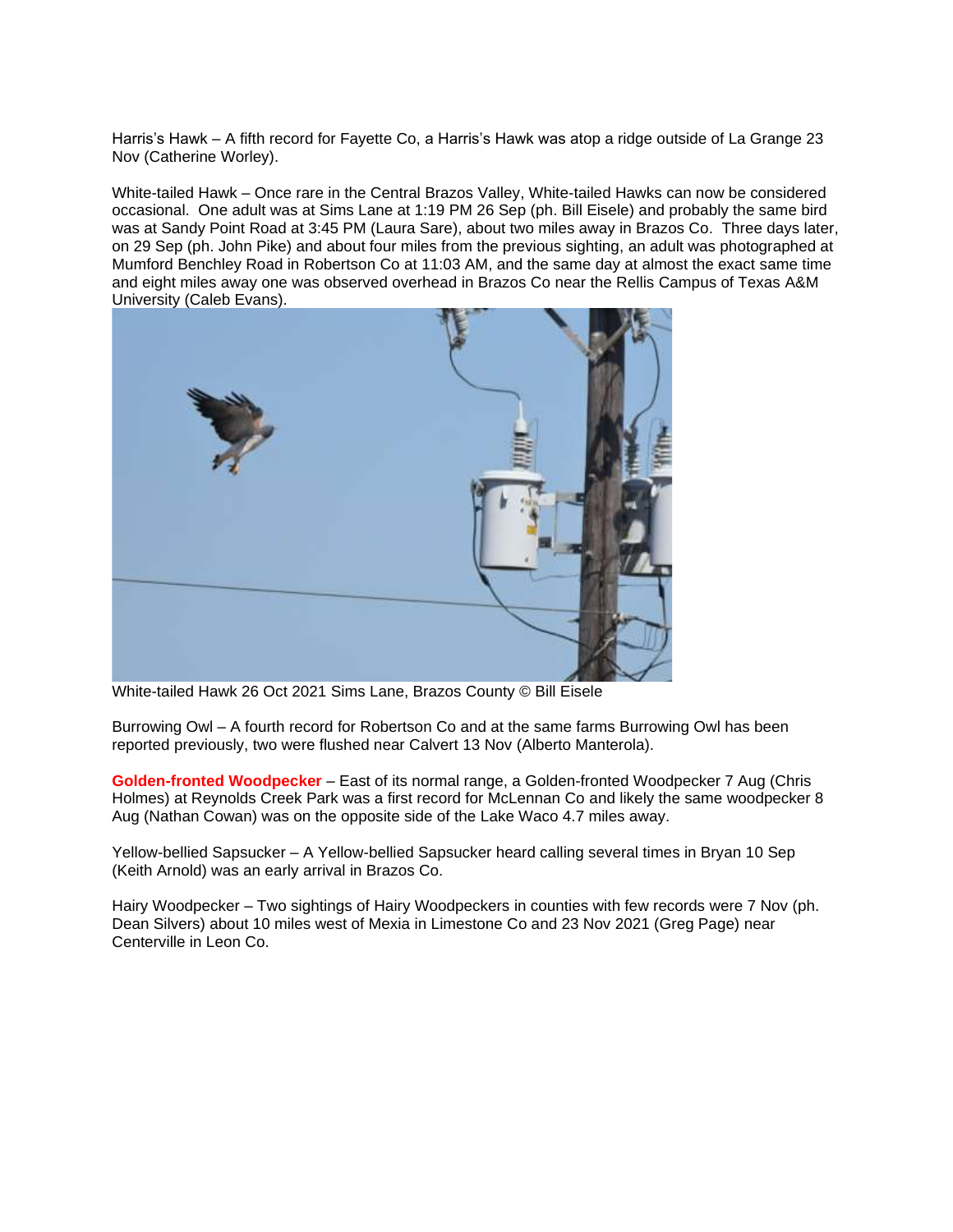Harris's Hawk – A fifth record for Fayette Co, a Harris's Hawk was atop a ridge outside of La Grange 23 Nov (Catherine Worley).

White-tailed Hawk – Once rare in the Central Brazos Valley, White-tailed Hawks can now be considered occasional. One adult was at Sims Lane at 1:19 PM 26 Sep (ph. Bill Eisele) and probably the same bird was at Sandy Point Road at 3:45 PM (Laura Sare), about two miles away in Brazos Co. Three days later, on 29 Sep (ph. John Pike) and about four miles from the previous sighting, an adult was photographed at Mumford Benchley Road in Robertson Co at 11:03 AM, and the same day at almost the exact same time and eight miles away one was observed overhead in Brazos Co near the Rellis Campus of Texas A&M University (Caleb Evans).



White-tailed Hawk 26 Oct 2021 Sims Lane, Brazos County © Bill Eisele

Burrowing Owl – A fourth record for Robertson Co and at the same farms Burrowing Owl has been reported previously, two were flushed near Calvert 13 Nov (Alberto Manterola).

**Golden-fronted Woodpecker** – East of its normal range, a Golden-fronted Woodpecker 7 Aug (Chris Holmes) at Reynolds Creek Park was a first record for McLennan Co and likely the same woodpecker 8 Aug (Nathan Cowan) was on the opposite side of the Lake Waco 4.7 miles away.

Yellow-bellied Sapsucker – A Yellow-bellied Sapsucker heard calling several times in Bryan 10 Sep (Keith Arnold) was an early arrival in Brazos Co.

Hairy Woodpecker – Two sightings of Hairy Woodpeckers in counties with few records were 7 Nov (ph. Dean Silvers) about 10 miles west of Mexia in Limestone Co and 23 Nov 2021 (Greg Page) near Centerville in Leon Co.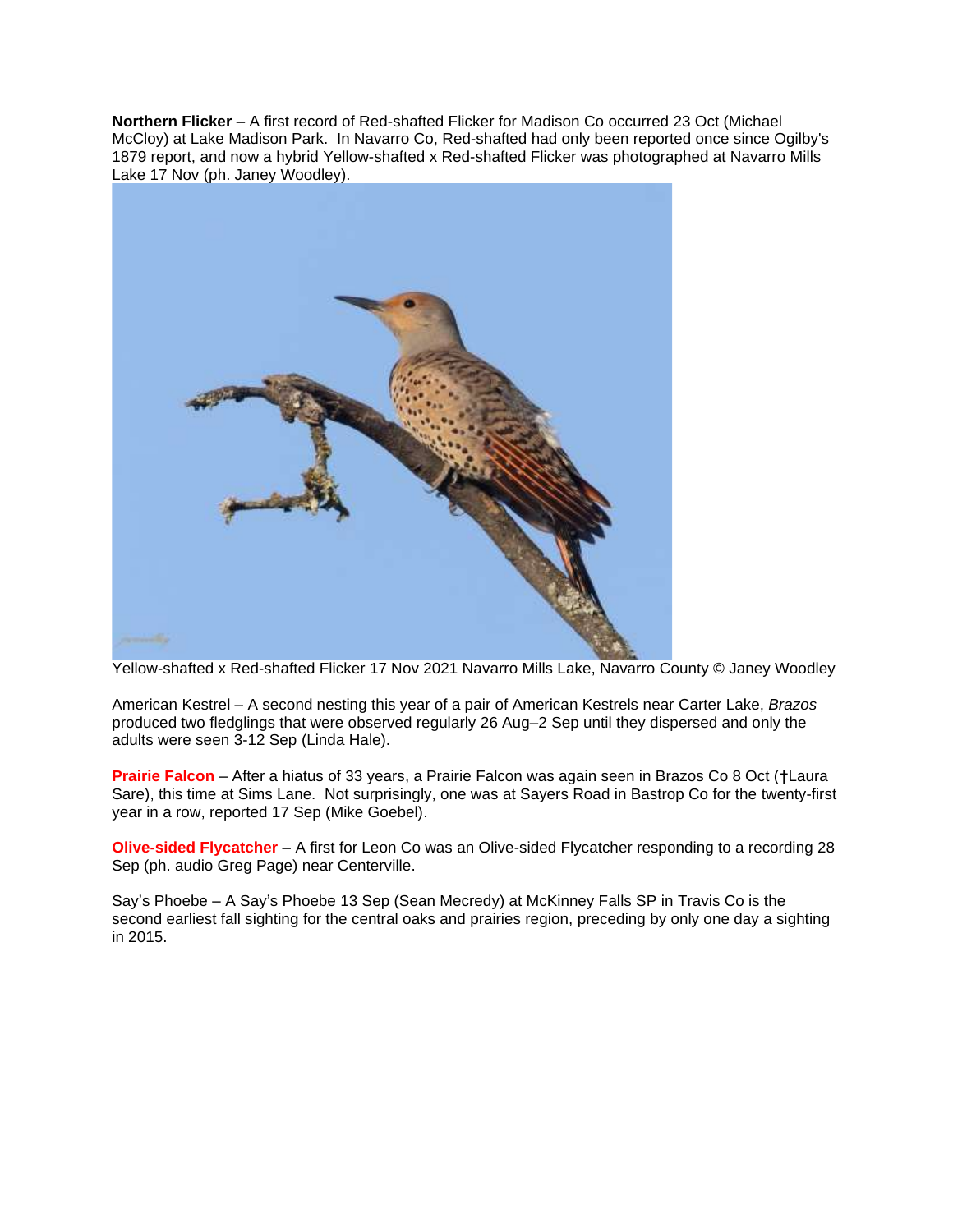**Northern Flicker** – A first record of Red-shafted Flicker for Madison Co occurred 23 Oct (Michael McCloy) at Lake Madison Park. In Navarro Co, Red-shafted had only been reported once since Ogilby's 1879 report, and now a hybrid Yellow-shafted x Red-shafted Flicker was photographed at Navarro Mills Lake 17 Nov (ph. Janey Woodley).



Yellow-shafted x Red-shafted Flicker 17 Nov 2021 Navarro Mills Lake, Navarro County © Janey Woodley

American Kestrel – A second nesting this year of a pair of American Kestrels near Carter Lake, *Brazos* produced two fledglings that were observed regularly 26 Aug–2 Sep until they dispersed and only the adults were seen 3-12 Sep (Linda Hale).

**Prairie Falcon** – After a hiatus of 33 years, a Prairie Falcon was again seen in Brazos Co 8 Oct (†Laura Sare), this time at Sims Lane. Not surprisingly, one was at Sayers Road in Bastrop Co for the twenty-first year in a row, reported 17 Sep (Mike Goebel).

**Olive-sided Flycatcher** – A first for Leon Co was an Olive-sided Flycatcher responding to a recording 28 Sep (ph. audio Greg Page) near Centerville.

Say's Phoebe – A Say's Phoebe 13 Sep (Sean Mecredy) at McKinney Falls SP in Travis Co is the second earliest fall sighting for the central oaks and prairies region, preceding by only one day a sighting in 2015.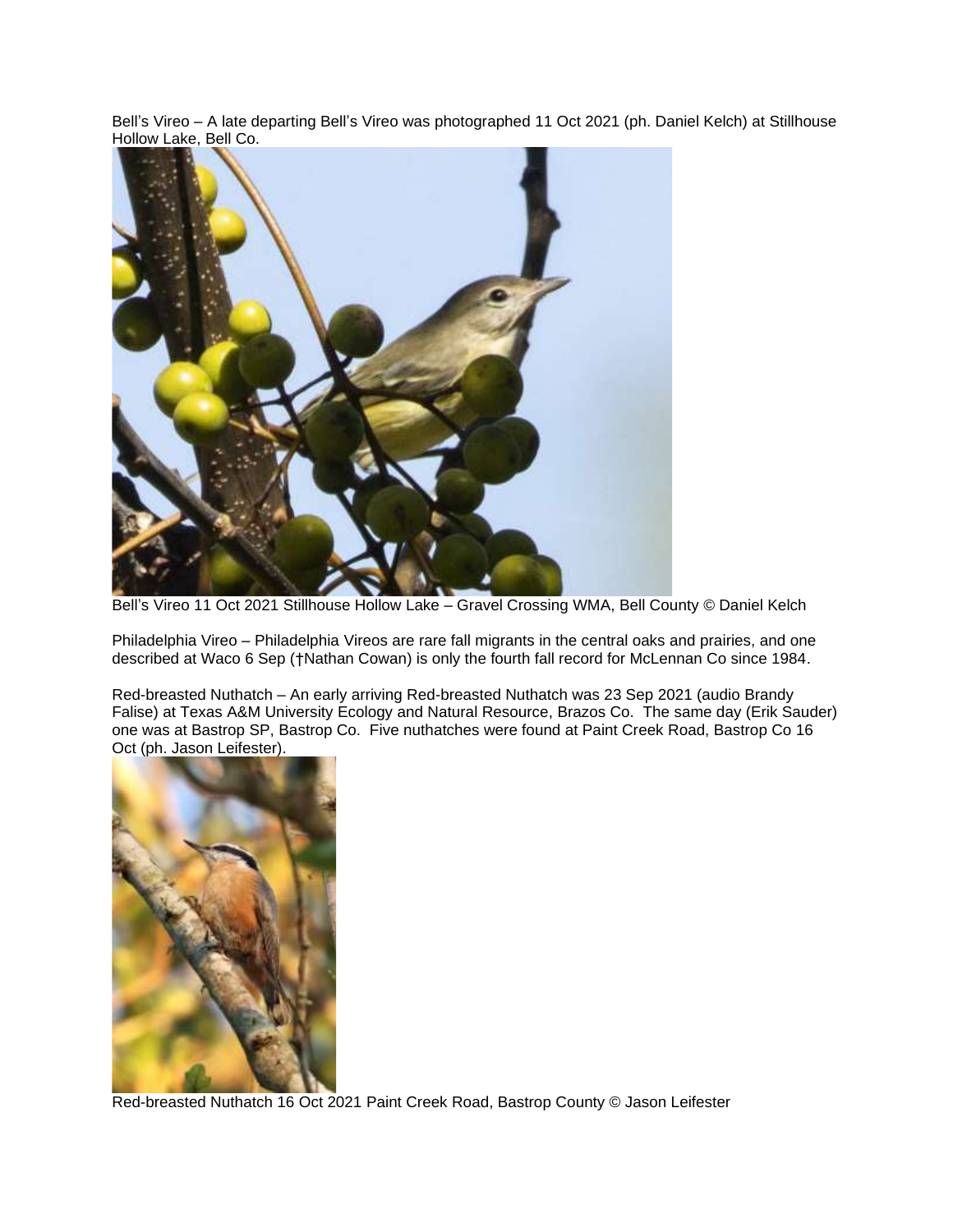Bell's Vireo – A late departing Bell's Vireo was photographed 11 Oct 2021 (ph. Daniel Kelch) at Stillhouse Hollow Lake, Bell Co.



Bell's Vireo 11 Oct 2021 Stillhouse Hollow Lake – Gravel Crossing WMA, Bell County © Daniel Kelch

Philadelphia Vireo – Philadelphia Vireos are rare fall migrants in the central oaks and prairies, and one described at Waco 6 Sep (†Nathan Cowan) is only the fourth fall record for McLennan Co since 1984.

Red-breasted Nuthatch – An early arriving Red-breasted Nuthatch was 23 Sep 2021 (audio Brandy Falise) at Texas A&M University Ecology and Natural Resource, Brazos Co. The same day (Erik Sauder) one was at Bastrop SP, Bastrop Co. Five nuthatches were found at Paint Creek Road, Bastrop Co 16 Oct (ph. Jason Leifester).



Red-breasted Nuthatch 16 Oct 2021 Paint Creek Road, Bastrop County © Jason Leifester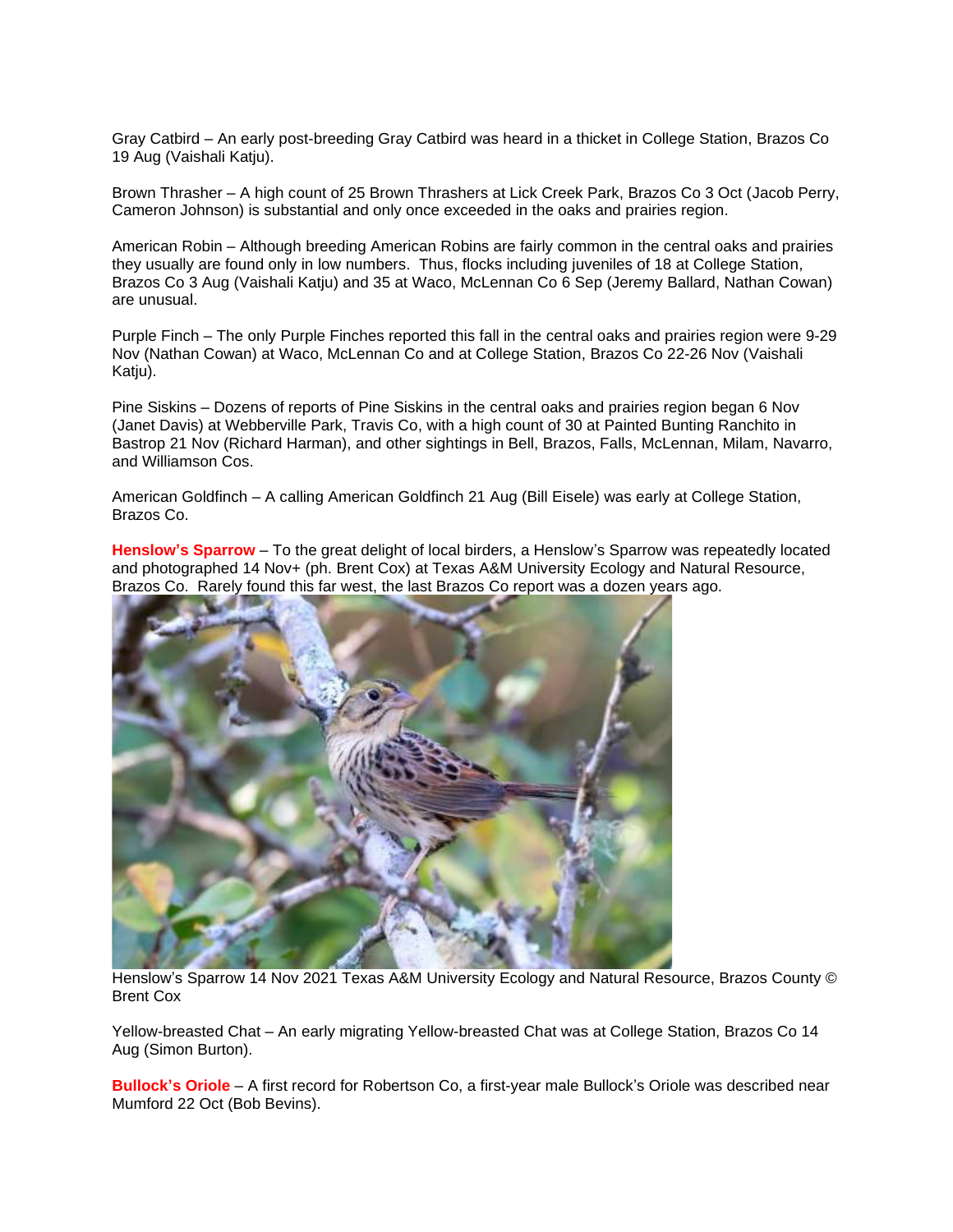Gray Catbird – An early post-breeding Gray Catbird was heard in a thicket in College Station, Brazos Co 19 Aug (Vaishali Katju).

Brown Thrasher – A high count of 25 Brown Thrashers at Lick Creek Park, Brazos Co 3 Oct (Jacob Perry, Cameron Johnson) is substantial and only once exceeded in the oaks and prairies region.

American Robin – Although breeding American Robins are fairly common in the central oaks and prairies they usually are found only in low numbers. Thus, flocks including juveniles of 18 at College Station, Brazos Co 3 Aug (Vaishali Katju) and 35 at Waco, McLennan Co 6 Sep (Jeremy Ballard, Nathan Cowan) are unusual.

Purple Finch – The only Purple Finches reported this fall in the central oaks and prairies region were 9-29 Nov (Nathan Cowan) at Waco, McLennan Co and at College Station, Brazos Co 22-26 Nov (Vaishali Katju).

Pine Siskins – Dozens of reports of Pine Siskins in the central oaks and prairies region began 6 Nov (Janet Davis) at Webberville Park, Travis Co, with a high count of 30 at Painted Bunting Ranchito in Bastrop 21 Nov (Richard Harman), and other sightings in Bell, Brazos, Falls, McLennan, Milam, Navarro, and Williamson Cos.

American Goldfinch – A calling American Goldfinch 21 Aug (Bill Eisele) was early at College Station, Brazos Co.

**Henslow's Sparrow** – To the great delight of local birders, a Henslow's Sparrow was repeatedly located and photographed 14 Nov+ (ph. Brent Cox) at Texas A&M University Ecology and Natural Resource, Brazos Co. Rarely found this far west, the last Brazos Co report was a dozen years ago.



Henslow's Sparrow 14 Nov 2021 Texas A&M University Ecology and Natural Resource, Brazos County © Brent Cox

Yellow-breasted Chat – An early migrating Yellow-breasted Chat was at College Station, Brazos Co 14 Aug (Simon Burton).

**Bullock's Oriole** – A first record for Robertson Co, a first-year male Bullock's Oriole was described near Mumford 22 Oct (Bob Bevins).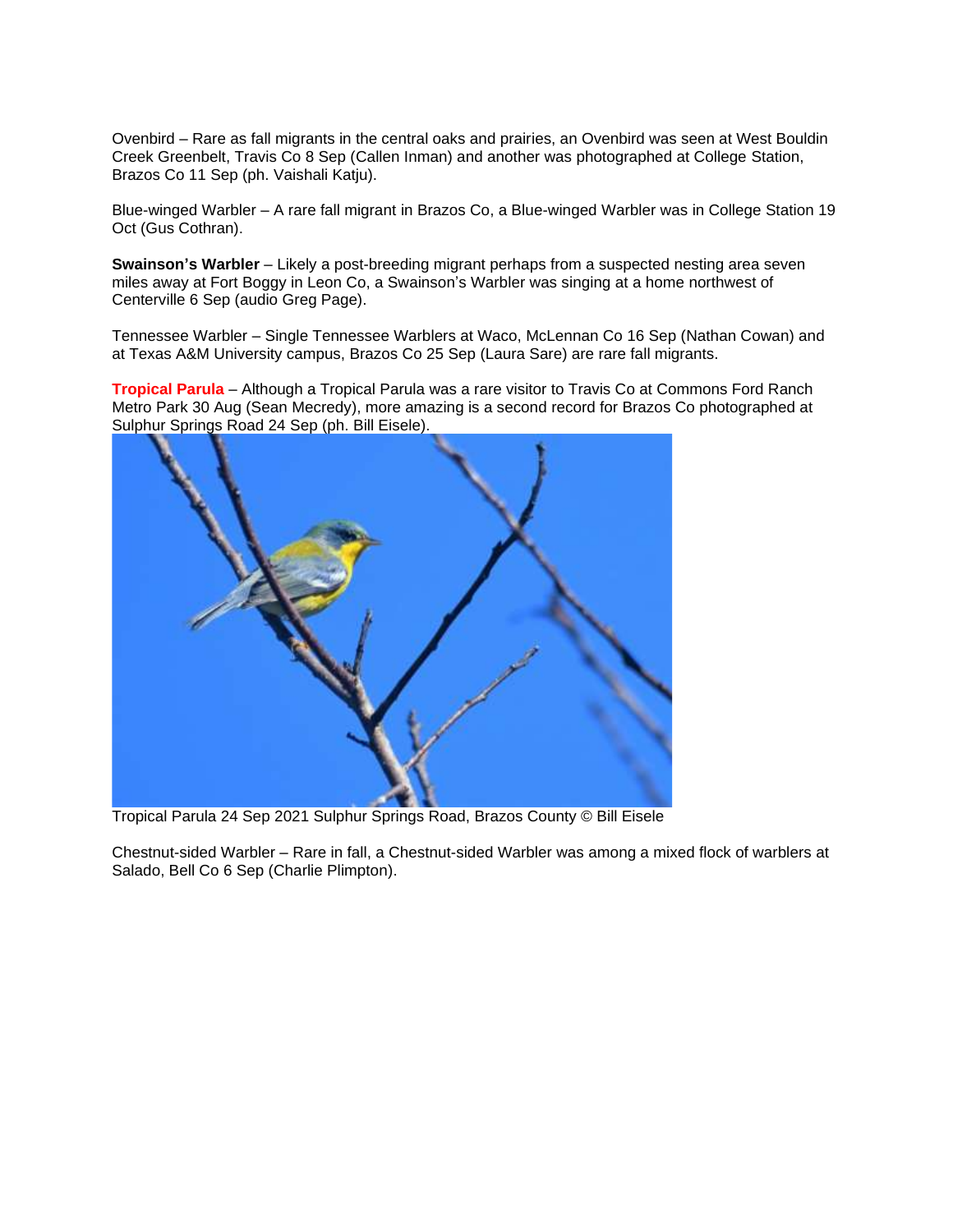Ovenbird – Rare as fall migrants in the central oaks and prairies, an Ovenbird was seen at West Bouldin Creek Greenbelt, Travis Co 8 Sep (Callen Inman) and another was photographed at College Station, Brazos Co 11 Sep (ph. Vaishali Katju).

Blue-winged Warbler – A rare fall migrant in Brazos Co, a Blue-winged Warbler was in College Station 19 Oct (Gus Cothran).

**Swainson's Warbler** – Likely a post-breeding migrant perhaps from a suspected nesting area seven miles away at Fort Boggy in Leon Co, a Swainson's Warbler was singing at a home northwest of Centerville 6 Sep (audio Greg Page).

Tennessee Warbler – Single Tennessee Warblers at Waco, McLennan Co 16 Sep (Nathan Cowan) and at Texas A&M University campus, Brazos Co 25 Sep (Laura Sare) are rare fall migrants.

**Tropical Parula** – Although a Tropical Parula was a rare visitor to Travis Co at Commons Ford Ranch Metro Park 30 Aug (Sean Mecredy), more amazing is a second record for Brazos Co photographed at Sulphur Springs Road 24 Sep (ph. Bill Eisele).



Tropical Parula 24 Sep 2021 Sulphur Springs Road, Brazos County © Bill Eisele

Chestnut-sided Warbler – Rare in fall, a Chestnut-sided Warbler was among a mixed flock of warblers at Salado, Bell Co 6 Sep (Charlie Plimpton).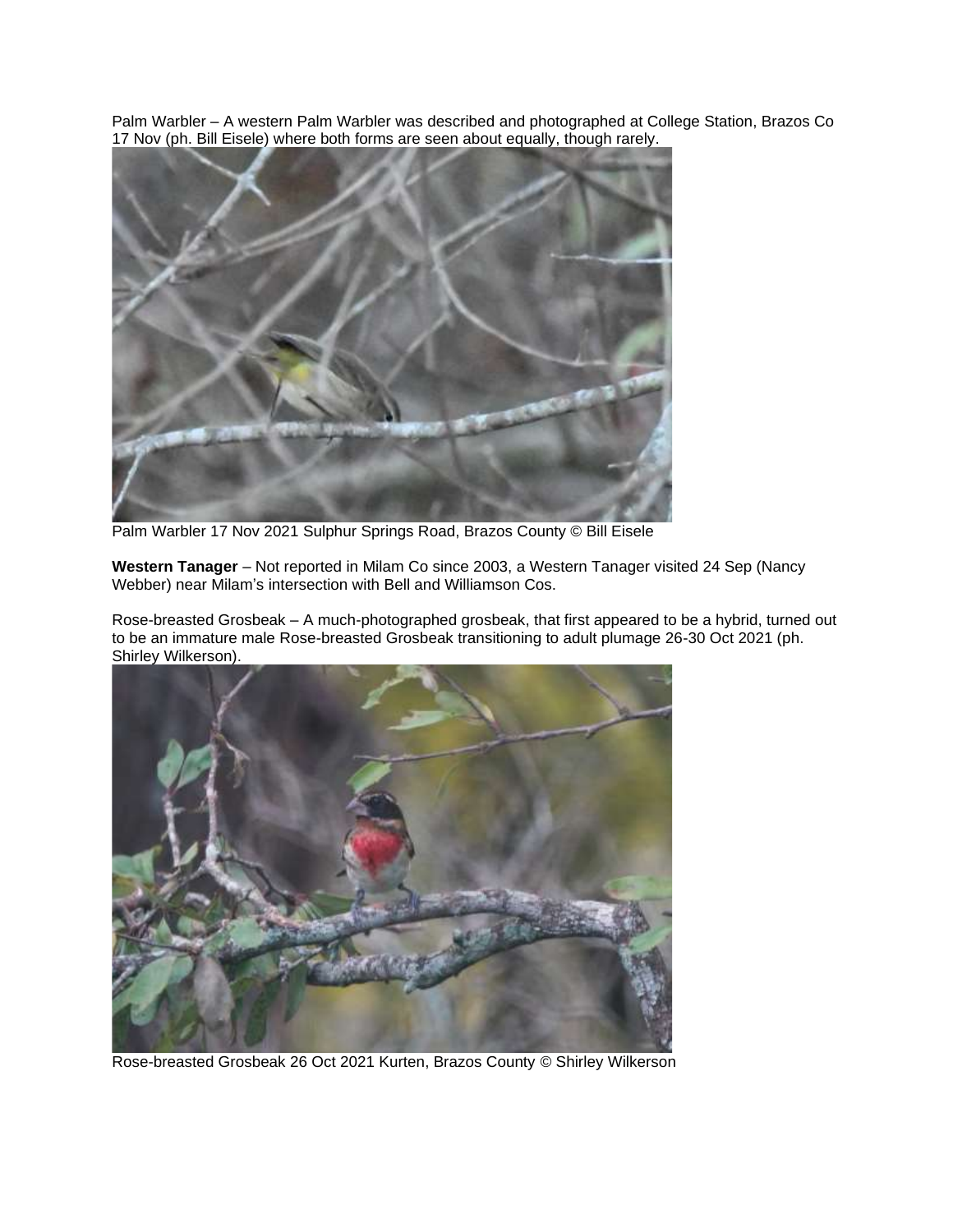Palm Warbler – A western Palm Warbler was described and photographed at College Station, Brazos Co 17 Nov (ph. Bill Eisele) where both forms are seen about equally, though rarely.



Palm Warbler 17 Nov 2021 Sulphur Springs Road, Brazos County © Bill Eisele

**Western Tanager** – Not reported in Milam Co since 2003, a Western Tanager visited 24 Sep (Nancy Webber) near Milam's intersection with Bell and Williamson Cos.

Rose-breasted Grosbeak – A much-photographed grosbeak, that first appeared to be a hybrid, turned out to be an immature male Rose-breasted Grosbeak transitioning to adult plumage 26-30 Oct 2021 (ph. Shirley Wilkerson).



Rose-breasted Grosbeak 26 Oct 2021 Kurten, Brazos County © Shirley Wilkerson